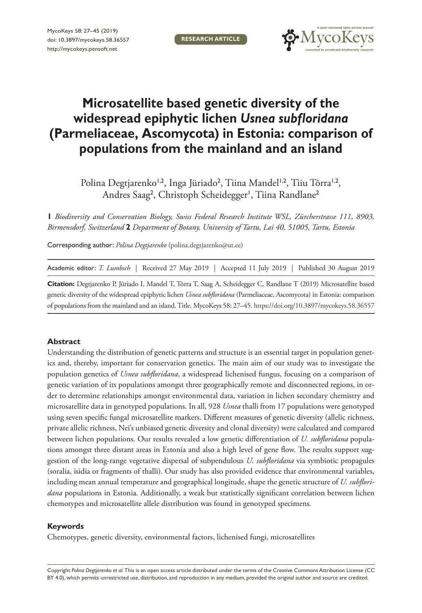

# **Microsatellite based genetic diversity of the widespread epiphytic lichen** *Usnea subfloridana* **(Parmeliaceae, Ascomycota) in Estonia: comparison of populations from the mainland and an island**

Polina Degtjarenko<sup>1,2</sup>, Inga Jüriado<sup>2</sup>, Tiina Mandel<sup>1,2</sup>, Tiiu Tõrra<sup>1,2</sup>, Andres Saag<sup>2</sup>, Christoph Scheidegger<sup>ı</sup>, Tiina Randlane<sup>2</sup>

**1** *Biodiversity and Conservation Biology, Swiss Federal Research Institute WSL, Zürcherstrasse 111, 8903, Birmensdorf, Switzerland* **2** *Department of Botany, University of Tartu, Lai 40, 51005, Tartu, Estonia*

Corresponding author: *Polina Degtjarenko* [\(polina.degtjarenko@ut.ee](mailto:polina.degtjarenko@ut.ee))

| Academic editor: T. Lumbsch   Received 27 May 2019   Accepted 11 July 2019   Published 30 August 2019 |  |  |  |
|-------------------------------------------------------------------------------------------------------|--|--|--|
|-------------------------------------------------------------------------------------------------------|--|--|--|

**Citation:** Degtjarenko P, Jüriado I, Mandel T, Tõrra T, Saag A, Scheidegger C, Randlane T (2019) Microsatellite based genetic diversity of the widespread epiphytic lichen *Usnea subfloridana* (Parmeliaceae, Ascomycota) in Estonia: comparison of populations from the mainland and an island. Title. MycoKeys 58: 27–45. <https://doi.org/10.3897/mycokeys.58.36557>

#### **Abstract**

Understanding the distribution of genetic patterns and structure is an essential target in population genetics and, thereby, important for conservation genetics. The main aim of our study was to investigate the population genetics of *Usnea subfloridana*, a widespread lichenised fungus, focusing on a comparison of genetic variation of its populations amongst three geographically remote and disconnected regions, in order to determine relationships amongst environmental data, variation in lichen secondary chemistry and microsatellite data in genotyped populations. In all, 928 *Usnea* thalli from 17 populations were genotyped using seven specific fungal microsatellite markers. Different measures of genetic diversity (allelic richness, private allelic richness, Nei's unbiased genetic diversity and clonal diversity) were calculated and compared between lichen populations. Our results revealed a low genetic differentiation of *U. subfloridana* populations amongst three distant areas in Estonia and also a high level of gene flow. The results support suggestion of the long-range vegetative dispersal of subpendulous *U. subfloridana* via symbiotic propagules (soralia, isidia or fragments of thalli). Our study has also provided evidence that environmental variables, including mean annual temperature and geographical longitude, shape the genetic structure of *U. subfloridana* populations in Estonia. Additionally, a weak but statistically significant correlation between lichen chemotypes and microsatellite allele distribution was found in genotyped specimens.

#### **Keywords**

Chemotypes, genetic diversity, environmental factors, lichenised fungi, microsatellites

Copyright *Polina Degtjarenko et al.* This is an open access article distributed under the terms of the [Creative Commons Attribution License \(CC](http://creativecommons.org/licenses/by/4.0/)  [BY 4.0\)](http://creativecommons.org/licenses/by/4.0/), which permits unrestricted use, distribution, and reproduction in any medium, provided the original author and source are credited.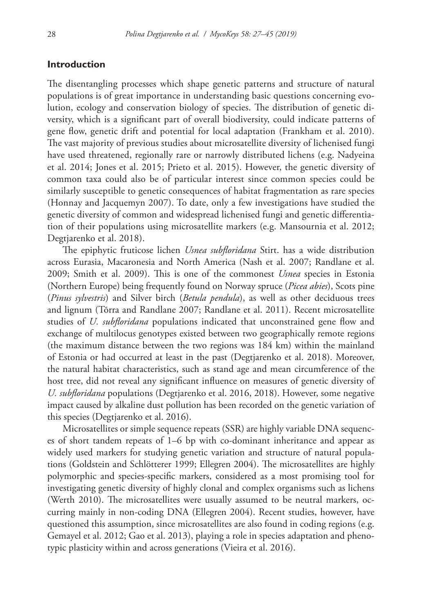### **Introduction**

The disentangling processes which shape genetic patterns and structure of natural populations is of great importance in understanding basic questions concerning evolution, ecology and conservation biology of species. The distribution of genetic diversity, which is a significant part of overall biodiversity, could indicate patterns of gene flow, genetic drift and potential for local adaptation (Frankham et al. 2010). The vast majority of previous studies about microsatellite diversity of lichenised fungi have used threatened, regionally rare or narrowly distributed lichens (e.g. Nadyeina et al. 2014; Jones et al. 2015; Prieto et al. 2015). However, the genetic diversity of common taxa could also be of particular interest since common species could be similarly susceptible to genetic consequences of habitat fragmentation as rare species (Honnay and Jacquemyn 2007). To date, only a few investigations have studied the genetic diversity of common and widespread lichenised fungi and genetic differentiation of their populations using microsatellite markers (e.g. Mansournia et al. 2012; Degtjarenko et al. 2018).

The epiphytic fruticose lichen *Usnea subfloridana* Stirt. has a wide distribution across Eurasia, Macaronesia and North America (Nash et al. 2007; Randlane et al. 2009; Smith et al. 2009). This is one of the commonest *Usnea* species in Estonia (Northern Europe) being frequently found on Norway spruce (*Picea abies*), Scots pine (*Pinus sylvestris*) and Silver birch (*Betula pendula*), as well as other deciduous trees and lignum (Tõrra and Randlane 2007; Randlane et al. 2011). Recent microsatellite studies of *U. subfloridana* populations indicated that unconstrained gene flow and exchange of multilocus genotypes existed between two geographically remote regions (the maximum distance between the two regions was 184 km) within the mainland of Estonia or had occurred at least in the past (Degtjarenko et al. 2018). Moreover, the natural habitat characteristics, such as stand age and mean circumference of the host tree, did not reveal any significant influence on measures of genetic diversity of *U. subfloridana* populations (Degtjarenko et al. 2016, 2018). However, some negative impact caused by alkaline dust pollution has been recorded on the genetic variation of this species (Degtjarenko et al. 2016).

Microsatellites or simple sequence repeats (SSR) are highly variable DNA sequences of short tandem repeats of 1–6 bp with co-dominant inheritance and appear as widely used markers for studying genetic variation and structure of natural populations (Goldstein and Schlötterer 1999; Ellegren 2004). The microsatellites are highly polymorphic and species-specific markers, considered as a most promising tool for investigating genetic diversity of highly clonal and complex organisms such as lichens (Werth 2010). The microsatellites were usually assumed to be neutral markers, occurring mainly in non-coding DNA (Ellegren 2004). Recent studies, however, have questioned this assumption, since microsatellites are also found in coding regions (e.g. Gemayel et al. 2012; Gao et al. 2013), playing a role in species adaptation and phenotypic plasticity within and across generations (Vieira et al. 2016).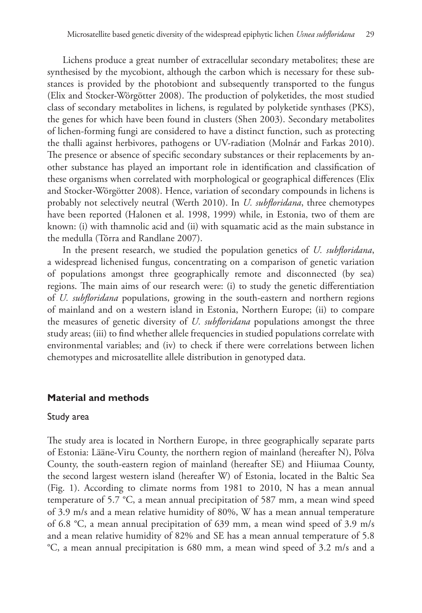Lichens produce a great number of extracellular secondary metabolites; these are synthesised by the mycobiont, although the carbon which is necessary for these substances is provided by the photobiont and subsequently transported to the fungus (Elix and Stocker-Wörgötter 2008). The production of polyketides, the most studied class of secondary metabolites in lichens, is regulated by polyketide synthases (PKS), the genes for which have been found in clusters (Shen 2003). Secondary metabolites of lichen-forming fungi are considered to have a distinct function, such as protecting the thalli against herbivores, pathogens or UV-radiation (Molnár and Farkas 2010). The presence or absence of specific secondary substances or their replacements by another substance has played an important role in identification and classification of these organisms when correlated with morphological or geographical differences (Elix and Stocker-Wörgötter 2008). Hence, variation of secondary compounds in lichens is probably not selectively neutral (Werth 2010). In *U. subfloridana*, three chemotypes have been reported (Halonen et al. 1998, 1999) while, in Estonia, two of them are known: (i) with thamnolic acid and (ii) with squamatic acid as the main substance in the medulla (Tõrra and Randlane 2007).

In the present research, we studied the population genetics of *U. subfloridana*, a widespread lichenised fungus, concentrating on a comparison of genetic variation of populations amongst three geographically remote and disconnected (by sea) regions. The main aims of our research were: (i) to study the genetic differentiation of *U. subfloridana* populations, growing in the south-eastern and northern regions of mainland and on a western island in Estonia, Northern Europe; (ii) to compare the measures of genetic diversity of *U. subfloridana* populations amongst the three study areas; (iii) to find whether allele frequencies in studied populations correlate with environmental variables; and (iv) to check if there were correlations between lichen chemotypes and microsatellite allele distribution in genotyped data.

#### **Material and methods**

#### Study area

The study area is located in Northern Europe, in three geographically separate parts of Estonia: Lääne-Viru County, the northern region of mainland (hereafter N), Põlva County, the south-eastern region of mainland (hereafter SE) and Hiiumaa County, the second largest western island (hereafter W) of Estonia, located in the Baltic Sea (Fig. 1). According to climate norms from 1981 to 2010, N has a mean annual temperature of 5.7 °C, a mean annual precipitation of 587 mm, a mean wind speed of 3.9 m/s and a mean relative humidity of 80%, W has a mean annual temperature of 6.8 °C, a mean annual precipitation of 639 mm, a mean wind speed of 3.9 m/s and a mean relative humidity of 82% and SE has a mean annual temperature of 5.8 °C, a mean annual precipitation is 680 mm, a mean wind speed of 3.2 m/s and a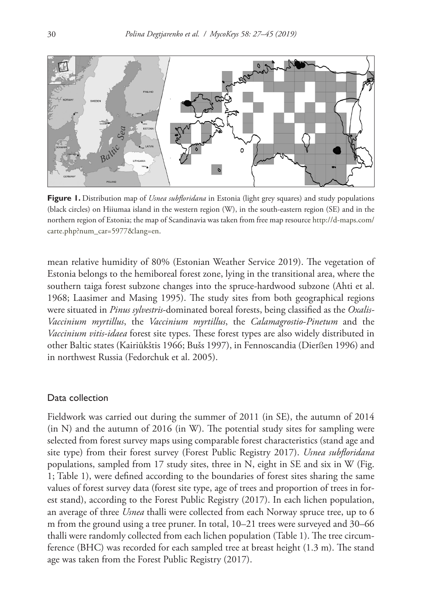

**Figure 1.** Distribution map of *Usnea subfloridana* in Estonia (light grey squares) and study populations (black circles) on Hiiumaa island in the western region (W), in the south-eastern region (SE) and in the northern region of Estonia; the map of Scandinavia was taken from free map resource [http://d-maps.com/](http://d-maps.com/carte.php?num_car=5977&lang=en) [carte.php?num\\_car=5977&lang=en](http://d-maps.com/carte.php?num_car=5977&lang=en).

mean relative humidity of 80% (Estonian Weather Service 2019). The vegetation of Estonia belongs to the hemiboreal forest zone, lying in the transitional area, where the southern taiga forest subzone changes into the spruce-hardwood subzone (Ahti et al. 1968; Laasimer and Masing 1995). The study sites from both geographical regions were situated in *Pinus sylvestris*-dominated boreal forests, being classified as the *Oxalis-Vaccinium myrtillus*, the *Vaccinium myrtillus*, the *Calamagrostio*-*Pinetum* and the *Vaccinium vitis-idaea* forest site types. These forest types are also widely distributed in other Baltic states (Kairiūkštis 1966; Bušs 1997), in Fennoscandia (Dierßen 1996) and in northwest Russia (Fedorchuk et al. 2005).

## Data collection

Fieldwork was carried out during the summer of 2011 (in SE), the autumn of 2014 (in N) and the autumn of 2016 (in W). The potential study sites for sampling were selected from forest survey maps using comparable forest characteristics (stand age and site type) from their forest survey (Forest Public Registry 2017). *Usnea subfloridana*  populations, sampled from 17 study sites, three in N, eight in SE and six in W (Fig. 1; Table 1), were defined according to the boundaries of forest sites sharing the same values of forest survey data (forest site type, age of trees and proportion of trees in forest stand), according to the Forest Public Registry (2017). In each lichen population, an average of three *Usnea* thalli were collected from each Norway spruce tree, up to 6 m from the ground using a tree pruner. In total, 10–21 trees were surveyed and 30–66 thalli were randomly collected from each lichen population (Table 1). The tree circumference (BHC) was recorded for each sampled tree at breast height (1.3 m). The stand age was taken from the Forest Public Registry (2017).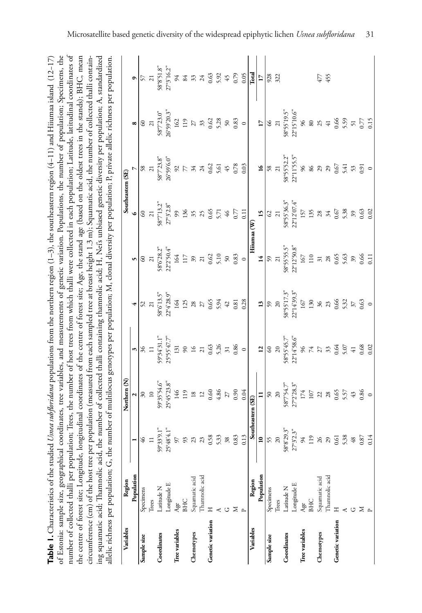| umber of collected thalli per population; Trees, the number of host trees from which thalli were collected in each population; Latitude, latitudinal coordinates of<br>Table 1. Characteristics of the studied <i>Usnea subfloridana</i> populations from the northern region (1–3), the southeastern region (4–11) and Hiiumaa island (12–17)<br>f Estonia: sample size, geographical coordinates, tree variables, and measurements of genetic variation. Populations, the number of population; Specimens, the<br>he centre of forest site; Longitude, longitudinal coordinates of the centre of forest site; Age, the stand age (based on the oldest trees in the stands); BHC, mean |  |
|-----------------------------------------------------------------------------------------------------------------------------------------------------------------------------------------------------------------------------------------------------------------------------------------------------------------------------------------------------------------------------------------------------------------------------------------------------------------------------------------------------------------------------------------------------------------------------------------------------------------------------------------------------------------------------------------|--|
| ircumference (cm) of the host tree per population (measured from each sampled tree at breast height 1.3 m); Squamatic acid, the number of collected thalli contain-<br>ing squamatic acid; Thamnolic acid, the number of collected thalli containing thamnolic acid; H, Nei's unbiased genetic diversity per population; A, standardized<br>the number of multilocus genotypes per population; M, clonal diversity per population; P, private allelic richness per population.<br>llelic richness per population; G, t                                                                                                                                                                  |  |

| Variables         | Region         | $\overline{\phantom{a}}$ | Northern (N) |                                                                                                                                                                                                                                                                                                                                                                                                                                         |                                                                                                                                                                                                                                                                                                                                                                                                                                    | Southeastern (SE)                                                                                |                                                                                                                                                                                                                                                                                                                                                                                                                    |                                                                                                                                                                                                                                                                                                                                               |  |
|-------------------|----------------|--------------------------|--------------|-----------------------------------------------------------------------------------------------------------------------------------------------------------------------------------------------------------------------------------------------------------------------------------------------------------------------------------------------------------------------------------------------------------------------------------------|------------------------------------------------------------------------------------------------------------------------------------------------------------------------------------------------------------------------------------------------------------------------------------------------------------------------------------------------------------------------------------------------------------------------------------|--------------------------------------------------------------------------------------------------|--------------------------------------------------------------------------------------------------------------------------------------------------------------------------------------------------------------------------------------------------------------------------------------------------------------------------------------------------------------------------------------------------------------------|-----------------------------------------------------------------------------------------------------------------------------------------------------------------------------------------------------------------------------------------------------------------------------------------------------------------------------------------------|--|
|                   | Population     |                          |              |                                                                                                                                                                                                                                                                                                                                                                                                                                         |                                                                                                                                                                                                                                                                                                                                                                                                                                    |                                                                                                  |                                                                                                                                                                                                                                                                                                                                                                                                                    |                                                                                                                                                                                                                                                                                                                                               |  |
| Sample size       | Specimens      |                          |              |                                                                                                                                                                                                                                                                                                                                                                                                                                         |                                                                                                                                                                                                                                                                                                                                                                                                                                    |                                                                                                  |                                                                                                                                                                                                                                                                                                                                                                                                                    |                                                                                                                                                                                                                                                                                                                                               |  |
|                   | Trees          |                          |              |                                                                                                                                                                                                                                                                                                                                                                                                                                         |                                                                                                                                                                                                                                                                                                                                                                                                                                    |                                                                                                  |                                                                                                                                                                                                                                                                                                                                                                                                                    |                                                                                                                                                                                                                                                                                                                                               |  |
| Coordinates       | Latitude N     |                          |              |                                                                                                                                                                                                                                                                                                                                                                                                                                         |                                                                                                                                                                                                                                                                                                                                                                                                                                    |                                                                                                  |                                                                                                                                                                                                                                                                                                                                                                                                                    |                                                                                                                                                                                                                                                                                                                                               |  |
|                   | Longitude E    |                          |              |                                                                                                                                                                                                                                                                                                                                                                                                                                         |                                                                                                                                                                                                                                                                                                                                                                                                                                    |                                                                                                  |                                                                                                                                                                                                                                                                                                                                                                                                                    |                                                                                                                                                                                                                                                                                                                                               |  |
| Tree variables    | Age            |                          |              |                                                                                                                                                                                                                                                                                                                                                                                                                                         |                                                                                                                                                                                                                                                                                                                                                                                                                                    |                                                                                                  |                                                                                                                                                                                                                                                                                                                                                                                                                    |                                                                                                                                                                                                                                                                                                                                               |  |
|                   | <b>BHC</b>     |                          |              |                                                                                                                                                                                                                                                                                                                                                                                                                                         |                                                                                                                                                                                                                                                                                                                                                                                                                                    |                                                                                                  |                                                                                                                                                                                                                                                                                                                                                                                                                    |                                                                                                                                                                                                                                                                                                                                               |  |
| Chemotypes        | Squamatic acid |                          |              | $\begin{array}{r l} \hline \mathbf{1} & \mathbf{3} & \mathbf{5} & \mathbf{6} & \mathbf{7} \\ \hline \mathbf{3} & \mathbf{1} & \mathbf{1} & \mathbf{1} \\ \mathbf{5} & \mathbf{5} & \mathbf{5} & \mathbf{5} & \mathbf{5} \\ \mathbf{5} & \mathbf{5} & \mathbf{5} & \mathbf{5} & \mathbf{5} \\ \mathbf{5} & \mathbf{5} & \mathbf{5} & \mathbf{5} & \mathbf{5} \\ \mathbf{5} & \mathbf{5} & \mathbf{5} & \mathbf{5} & \mathbf{5} \\ \math$ | $\begin{array}{c cccccc} \hline \mathbf{5} & \mathbf{9} & \mathbf{1} & \mathbf{1} & \mathbf{1} & \mathbf{1} & \mathbf{1} & \mathbf{1} & \mathbf{1} & \mathbf{1} & \mathbf{1} & \mathbf{1} & \mathbf{1} & \mathbf{1} & \mathbf{1} & \mathbf{1} & \mathbf{1} & \mathbf{1} & \mathbf{1} & \mathbf{1} & \mathbf{1} & \mathbf{1} & \mathbf{1} & \mathbf{1} & \mathbf{1} & \mathbf{1} & \mathbf{1} & \mathbf{1} & \mathbf{1} & \mathbf{$ |                                                                                                  | $\begin{array}{r l} \hline \text{,} & \text{,} \\ \hline \text{,} & \text{,} \\ \text{0.} & \text{0.} \\ \text{0.} & \text{0.} \\ \text{0.} & \text{0.} \\ \text{0.} & \text{0.} \\ \text{0.} & \text{0.} \\ \text{0.} & \text{0.} \\ \text{0.} & \text{0.} \\ \text{0.} & \text{0.} \\ \text{0.} & \text{0.} \\ \text{0.} & \text{0.} \\ \text{0.} & \text{0.} \\ \text{0.} & \text{0.} \\ \text{0.} & \text{0.}$ |                                                                                                                                                                                                                                                                                                                                               |  |
|                   | Thamnolic acid |                          |              |                                                                                                                                                                                                                                                                                                                                                                                                                                         |                                                                                                                                                                                                                                                                                                                                                                                                                                    |                                                                                                  |                                                                                                                                                                                                                                                                                                                                                                                                                    |                                                                                                                                                                                                                                                                                                                                               |  |
| Genetic variation | Ξ              |                          |              |                                                                                                                                                                                                                                                                                                                                                                                                                                         |                                                                                                                                                                                                                                                                                                                                                                                                                                    |                                                                                                  |                                                                                                                                                                                                                                                                                                                                                                                                                    |                                                                                                                                                                                                                                                                                                                                               |  |
|                   |                |                          |              |                                                                                                                                                                                                                                                                                                                                                                                                                                         |                                                                                                                                                                                                                                                                                                                                                                                                                                    |                                                                                                  |                                                                                                                                                                                                                                                                                                                                                                                                                    |                                                                                                                                                                                                                                                                                                                                               |  |
|                   | ಲ              |                          |              |                                                                                                                                                                                                                                                                                                                                                                                                                                         |                                                                                                                                                                                                                                                                                                                                                                                                                                    |                                                                                                  |                                                                                                                                                                                                                                                                                                                                                                                                                    |                                                                                                                                                                                                                                                                                                                                               |  |
|                   | ≍              |                          |              |                                                                                                                                                                                                                                                                                                                                                                                                                                         |                                                                                                                                                                                                                                                                                                                                                                                                                                    |                                                                                                  |                                                                                                                                                                                                                                                                                                                                                                                                                    |                                                                                                                                                                                                                                                                                                                                               |  |
|                   |                |                          |              |                                                                                                                                                                                                                                                                                                                                                                                                                                         |                                                                                                                                                                                                                                                                                                                                                                                                                                    |                                                                                                  |                                                                                                                                                                                                                                                                                                                                                                                                                    |                                                                                                                                                                                                                                                                                                                                               |  |
| Variables         | Region         |                          |              |                                                                                                                                                                                                                                                                                                                                                                                                                                         |                                                                                                                                                                                                                                                                                                                                                                                                                                    |                                                                                                  |                                                                                                                                                                                                                                                                                                                                                                                                                    |                                                                                                                                                                                                                                                                                                                                               |  |
|                   | Population     | $\overline{\phantom{a}}$ |              |                                                                                                                                                                                                                                                                                                                                                                                                                                         |                                                                                                                                                                                                                                                                                                                                                                                                                                    |                                                                                                  |                                                                                                                                                                                                                                                                                                                                                                                                                    |                                                                                                                                                                                                                                                                                                                                               |  |
| Sample size       | Specimens      |                          |              |                                                                                                                                                                                                                                                                                                                                                                                                                                         |                                                                                                                                                                                                                                                                                                                                                                                                                                    |                                                                                                  |                                                                                                                                                                                                                                                                                                                                                                                                                    |                                                                                                                                                                                                                                                                                                                                               |  |
|                   | Trees          |                          |              |                                                                                                                                                                                                                                                                                                                                                                                                                                         |                                                                                                                                                                                                                                                                                                                                                                                                                                    |                                                                                                  |                                                                                                                                                                                                                                                                                                                                                                                                                    |                                                                                                                                                                                                                                                                                                                                               |  |
| Coordinates       | Latitude N     |                          |              |                                                                                                                                                                                                                                                                                                                                                                                                                                         |                                                                                                                                                                                                                                                                                                                                                                                                                                    |                                                                                                  |                                                                                                                                                                                                                                                                                                                                                                                                                    |                                                                                                                                                                                                                                                                                                                                               |  |
|                   | Longitude E    |                          |              | $\begin{array}{c c}\n 12 \\  \hline\n 60 \\  \hline\n 80 \\  20 \\  30 \\  5855.7^{\circ\circ}_{33} \text{+58.6}^{\circ\circ}_{33} \\  \text{58.5}^{\circ\circ}_{33} \text{+58.6}^{\circ} \\  \text{58.6}^{\circ} \\  \text{78.7}^{\circ} \\  \text{89.8}^{\circ} \\  \text{90.8}^{\circ} \\  \text{19.8}^{\circ} \\  \text{10.8}^{\circ} \\  \text{11.8}^{\circ} \\  \text{13.8}^{\circ} \\  \text{16.8}^{\circ}$                      |                                                                                                                                                                                                                                                                                                                                                                                                                                    | $\begin{array}{c c}\n15 \\ \hline\n6 & 7 \\ \hline\n8 & 855363 \\ 88552074 \\ 2155\n\end{array}$ |                                                                                                                                                                                                                                                                                                                                                                                                                    | $\frac{17}{9}$<br>$\frac{17}{9}$<br>$\frac{17}{3}$<br>$\frac{17}{3}$<br>$\frac{17}{3}$<br>$\frac{17}{3}$<br>$\frac{17}{3}$<br>$\frac{17}{3}$<br>$\frac{17}{3}$<br>$\frac{17}{3}$<br>$\frac{17}{3}$<br>$\frac{17}{3}$<br>$\frac{17}{3}$<br>$\frac{17}{3}$<br>$\frac{17}{3}$<br>$\frac{17}{3}$<br>$\frac{17}{3}$<br>$\frac{17}{3}$<br>$\frac{1$ |  |
| Tree variables    | Age            |                          |              |                                                                                                                                                                                                                                                                                                                                                                                                                                         |                                                                                                                                                                                                                                                                                                                                                                                                                                    |                                                                                                  |                                                                                                                                                                                                                                                                                                                                                                                                                    |                                                                                                                                                                                                                                                                                                                                               |  |
|                   | <b>BHC</b>     |                          |              |                                                                                                                                                                                                                                                                                                                                                                                                                                         |                                                                                                                                                                                                                                                                                                                                                                                                                                    |                                                                                                  |                                                                                                                                                                                                                                                                                                                                                                                                                    |                                                                                                                                                                                                                                                                                                                                               |  |
| Chemotypes        | Squamatic acid |                          |              |                                                                                                                                                                                                                                                                                                                                                                                                                                         |                                                                                                                                                                                                                                                                                                                                                                                                                                    |                                                                                                  |                                                                                                                                                                                                                                                                                                                                                                                                                    |                                                                                                                                                                                                                                                                                                                                               |  |
|                   | Thamnolic acid |                          |              |                                                                                                                                                                                                                                                                                                                                                                                                                                         |                                                                                                                                                                                                                                                                                                                                                                                                                                    |                                                                                                  |                                                                                                                                                                                                                                                                                                                                                                                                                    |                                                                                                                                                                                                                                                                                                                                               |  |
| Genetic variation | $\mathbb{I}$   |                          |              |                                                                                                                                                                                                                                                                                                                                                                                                                                         |                                                                                                                                                                                                                                                                                                                                                                                                                                    |                                                                                                  |                                                                                                                                                                                                                                                                                                                                                                                                                    |                                                                                                                                                                                                                                                                                                                                               |  |
|                   |                |                          |              |                                                                                                                                                                                                                                                                                                                                                                                                                                         |                                                                                                                                                                                                                                                                                                                                                                                                                                    |                                                                                                  |                                                                                                                                                                                                                                                                                                                                                                                                                    |                                                                                                                                                                                                                                                                                                                                               |  |
|                   | U              |                          |              |                                                                                                                                                                                                                                                                                                                                                                                                                                         |                                                                                                                                                                                                                                                                                                                                                                                                                                    |                                                                                                  |                                                                                                                                                                                                                                                                                                                                                                                                                    |                                                                                                                                                                                                                                                                                                                                               |  |
|                   | $\geq$         |                          |              |                                                                                                                                                                                                                                                                                                                                                                                                                                         |                                                                                                                                                                                                                                                                                                                                                                                                                                    |                                                                                                  |                                                                                                                                                                                                                                                                                                                                                                                                                    |                                                                                                                                                                                                                                                                                                                                               |  |
|                   |                |                          |              |                                                                                                                                                                                                                                                                                                                                                                                                                                         |                                                                                                                                                                                                                                                                                                                                                                                                                                    |                                                                                                  |                                                                                                                                                                                                                                                                                                                                                                                                                    |                                                                                                                                                                                                                                                                                                                                               |  |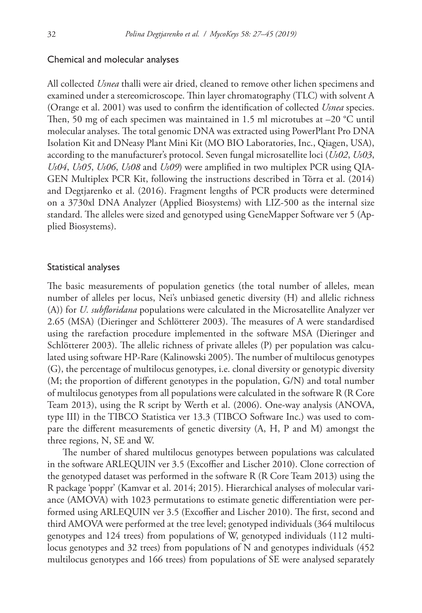#### Chemical and molecular analyses

All collected *Usnea* thalli were air dried, cleaned to remove other lichen specimens and examined under a stereomicroscope. Thin layer chromatography (TLC) with solvent A (Orange et al. 2001) was used to confirm the identification of collected *Usnea* species. Then, 50 mg of each specimen was maintained in 1.5 ml microtubes at  $-20$  °C until molecular analyses. The total genomic DNA was extracted using PowerPlant Pro DNA Isolation Kit and DNeasy Plant Mini Kit (MO BIO Laboratories, Inc., Qiagen, USA), according to the manufacturer's protocol. Seven fungal microsatellite loci (*Us02*, *Us03*, *Us04*, *Us05*, *Us06*, *Us08* and *Us09*) were amplified in two multiplex PCR using QIA-GEN Multiplex PCR Kit, following the instructions described in Tõrra et al. (2014) and Degtjarenko et al. (2016). Fragment lengths of PCR products were determined on a 3730xl DNA Analyzer (Applied Biosystems) with LIZ-500 as the internal size standard. The alleles were sized and genotyped using GeneMapper Software ver 5 (Applied Biosystems).

#### Statistical analyses

The basic measurements of population genetics (the total number of alleles, mean number of alleles per locus, Nei's unbiased genetic diversity (H) and allelic richness (A)) for *U. subfloridana* populations were calculated in the Microsatellite Analyzer ver 2.65 (MSA) (Dieringer and Schlötterer 2003). The measures of A were standardised using the rarefaction procedure implemented in the software MSA (Dieringer and Schlötterer 2003). The allelic richness of private alleles (P) per population was calculated using software HP-Rare (Kalinowski 2005). The number of multilocus genotypes (G), the percentage of multilocus genotypes, i.e. clonal diversity or genotypic diversity (M; the proportion of different genotypes in the population, G/N) and total number of multilocus genotypes from all populations were calculated in the software R (R Core Team 2013), using the R script by Werth et al. (2006). One-way analysis (ANOVA, type III) in the TIBCO Statistica ver 13.3 (TIBCO Software Inc.) was used to compare the different measurements of genetic diversity (A, H, P and M) amongst the three regions, N, SE and W.

The number of shared multilocus genotypes between populations was calculated in the software ARLEQUIN ver 3.5 (Excoffier and Lischer 2010). Clone correction of the genotyped dataset was performed in the software R (R Core Team 2013) using the R package 'poppr' (Kamvar et al. 2014; 2015). Hierarchical analyses of molecular variance (AMOVA) with 1023 permutations to estimate genetic differentiation were performed using ARLEQUIN ver 3.5 (Excoffier and Lischer 2010). The first, second and third AMOVA were performed at the tree level; genotyped individuals (364 multilocus genotypes and 124 trees) from populations of W, genotyped individuals (112 multilocus genotypes and 32 trees) from populations of N and genotypes individuals (452 multilocus genotypes and 166 trees) from populations of SE were analysed separately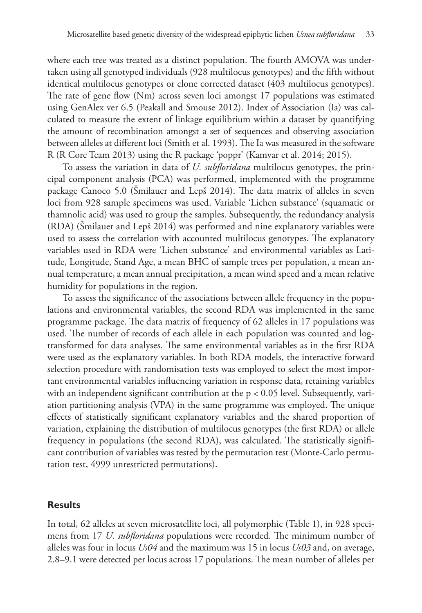where each tree was treated as a distinct population. The fourth AMOVA was undertaken using all genotyped individuals (928 multilocus genotypes) and the fifth without identical multilocus genotypes or clone corrected dataset (403 multilocus genotypes). The rate of gene flow (Nm) across seven loci amongst 17 populations was estimated using GenAlex ver 6.5 (Peakall and Smouse 2012). Index of Association (Ia) was calculated to measure the extent of linkage equilibrium within a dataset by quantifying the amount of recombination amongst a set of sequences and observing association between alleles at different loci (Smith et al. 1993). The Ia was measured in the software R (R Core Team 2013) using the R package 'poppr' (Kamvar et al. 2014; 2015).

To assess the variation in data of *U. subfloridana* multilocus genotypes, the principal component analysis (PCA) was performed, implemented with the programme package Canoco 5.0 (Šmilauer and Lepš 2014). The data matrix of alleles in seven loci from 928 sample specimens was used. Variable 'Lichen substance' (squamatic or thamnolic acid) was used to group the samples. Subsequently, the redundancy analysis (RDA) (Šmilauer and Lepš 2014) was performed and nine explanatory variables were used to assess the correlation with accounted multilocus genotypes. The explanatory variables used in RDA were 'Lichen substance' and environmental variables as Latitude, Longitude, Stand Age, a mean BHC of sample trees per population, a mean annual temperature, a mean annual precipitation, a mean wind speed and a mean relative humidity for populations in the region.

To assess the significance of the associations between allele frequency in the populations and environmental variables, the second RDA was implemented in the same programme package. The data matrix of frequency of 62 alleles in 17 populations was used. The number of records of each allele in each population was counted and logtransformed for data analyses. The same environmental variables as in the first RDA were used as the explanatory variables. In both RDA models, the interactive forward selection procedure with randomisation tests was employed to select the most important environmental variables influencing variation in response data, retaining variables with an independent significant contribution at the p < 0.05 level. Subsequently, variation partitioning analysis (VPA) in the same programme was employed. The unique effects of statistically significant explanatory variables and the shared proportion of variation, explaining the distribution of multilocus genotypes (the first RDA) or allele frequency in populations (the second RDA), was calculated. The statistically significant contribution of variables was tested by the permutation test (Monte-Carlo permutation test, 4999 unrestricted permutations).

## **Results**

In total, 62 alleles at seven microsatellite loci, all polymorphic (Table 1), in 928 specimens from 17 *U. subfloridana* populations were recorded. The minimum number of alleles was four in locus *Us04* and the maximum was 15 in locus *Us03* and, on average, 2.8–9.1 were detected per locus across 17 populations. The mean number of alleles per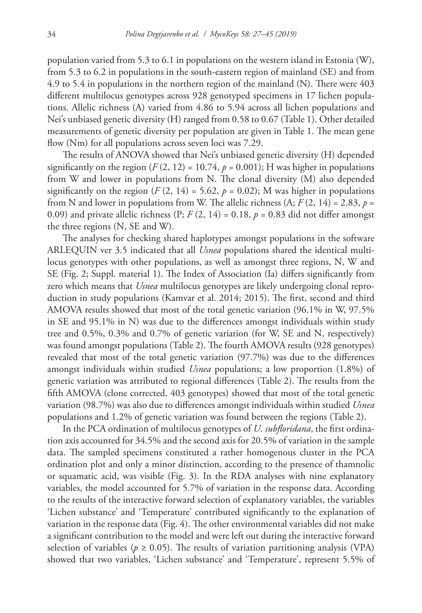population varied from 5.3 to 6.1 in populations on the western island in Estonia (W), from 5.3 to 6.2 in populations in the south-eastern region of mainland (SE) and from 4.9 to 5.4 in populations in the northern region of the mainland (N). There were 403 different multilocus genotypes across 928 genotyped specimens in 17 lichen populations. Allelic richness (A) varied from 4.86 to 5.94 across all lichen populations and Nei's unbiased genetic diversity (H) ranged from 0.58 to 0.67 (Table 1). Other detailed measurements of genetic diversity per population are given in Table 1. The mean gene flow (Nm) for all populations across seven loci was 7.29.

The results of ANOVA showed that Nei's unbiased genetic diversity (H) depended significantly on the region  $(F(2, 12) = 10.74, p = 0.001)$ ; H was higher in populations from W and lower in populations from N. The clonal diversity (M) also depended significantly on the region  $(F(2, 14) = 5.62, p = 0.02)$ ; M was higher in populations from N and lower in populations from W. The allelic richness  $(A; F(2, 14) = 2.83, p =$ 0.09) and private allelic richness  $(P; F(2, 14) = 0.18, p = 0.83$  did not differ amongst the three regions (N, SE and W).

The analyses for checking shared haplotypes amongst populations in the software ARLEQUIN ver 3.5 indicated that all *Usnea* populations shared the identical multilocus genotypes with other populations, as well as amongst three regions, N, W and SE (Fig. 2; Suppl. material 1). The Index of Association (Ia) differs significantly from zero which means that *Usnea* multilocus genotypes are likely undergoing clonal reproduction in study populations (Kamvar et al. 2014; 2015). The first, second and third AMOVA results showed that most of the total genetic variation (96.1% in W, 97.5% in SE and 95.1% in N) was due to the differences amongst individuals within study tree and 0.5%, 0.3% and 0.7% of genetic variation (for W, SE and N, respectively) was found amongst populations (Table 2). The fourth AMOVA results (928 genotypes) revealed that most of the total genetic variation (97.7%) was due to the differences amongst individuals within studied *Usnea* populations; a low proportion (1.8%) of genetic variation was attributed to regional differences (Table 2). The results from the fifth AMOVA (clone corrected, 403 genotypes) showed that most of the total genetic variation (98.7%) was also due to differences amongst individuals within studied *Usnea* populations and 1.2% of genetic variation was found between the regions (Table 2).

In the PCA ordination of multilocus genotypes of *U. subfloridana*, the first ordination axis accounted for 34.5% and the second axis for 20.5% of variation in the sample data. The sampled specimens constituted a rather homogenous cluster in the PCA ordination plot and only a minor distinction, according to the presence of thamnolic or squamatic acid, was visible (Fig. 3). In the RDA analyses with nine explanatory variables, the model accounted for 5.7% of variation in the response data. According to the results of the interactive forward selection of explanatory variables, the variables 'Lichen substance' and 'Temperature' contributed significantly to the explanation of variation in the response data (Fig. 4). The other environmental variables did not make a significant contribution to the model and were left out during the interactive forward selection of variables ( $p \ge 0.05$ ). The results of variation partitioning analysis (VPA) showed that two variables, 'Lichen substance' and 'Temperature', represent 5.5% of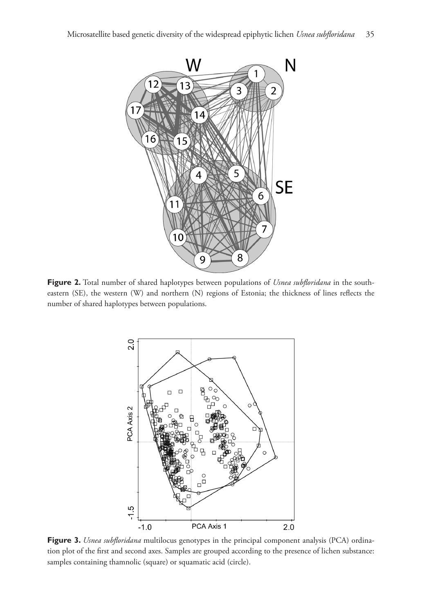

**Figure 2.** Total number of shared haplotypes between populations of *Usnea subfloridana* in the southeastern (SE), the western (W) and northern (N) regions of Estonia; the thickness of lines reflects the number of shared haplotypes between populations.



**Figure 3.** *Usnea subfloridana* multilocus genotypes in the principal component analysis (PCA) ordination plot of the first and second axes. Samples are grouped according to the presence of lichen substance: samples containing thamnolic (square) or squamatic acid (circle).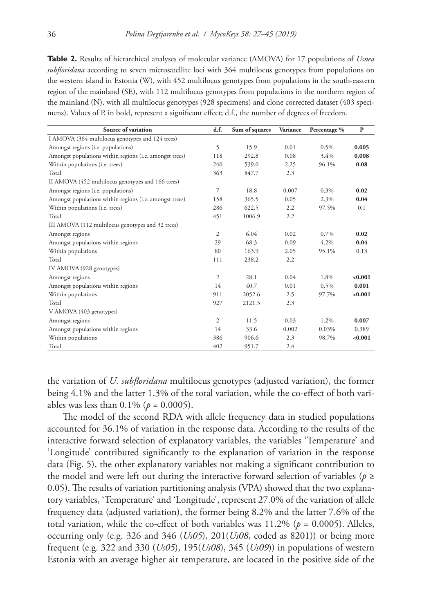**Table 2.** Results of hierarchical analyses of molecular variance (AMOVA) for 17 populations of *Usnea subfloridana* according to seven microsatellite loci with 364 multilocus genotypes from populations on the western island in Estonia (W), with 452 multilocus genotypes from populations in the south-eastern region of the mainland (SE), with 112 multilocus genotypes from populations in the northern region of the mainland (N), with all multilocus genotypes (928 specimens) and clone corrected dataset (403 specimens). Values of P, in bold, represent a significant effect; d.f., the number of degrees of freedom.

| Source of variation                                     | d.f.           | Sum of squares | Variance | Percentage % | $\mathbf{P}$ |
|---------------------------------------------------------|----------------|----------------|----------|--------------|--------------|
| I AMOVA (364 multilocus genotypes and 124 trees)        |                |                |          |              |              |
| Amongst regions (i.e. populations)                      | 5              | 15.9           | 0.01     | 0.5%         | 0.005        |
| Amongst populations within regions (i.e. amongst trees) | 118            | 292.8          | 0.08     | 3.4%         | 0.008        |
| Within populations (i.e. trees)                         | 240            | 539.0          | 2.25     | 96.1%        | 0.08         |
| Total                                                   | 363            | 847.7          | 2.3      |              |              |
| II AMOVA (452 multilocus genotypes and 166 trees)       |                |                |          |              |              |
| Amongst regions (i.e. populations)                      | 7              | 18.8           | 0.007    | 0.3%         | 0.02         |
| Amongst populations within regions (i.e. amongst trees) | 158            | 365.5          | 0.05     | 2.3%         | 0.04         |
| Within populations (i.e. trees)                         | 286            | 622.5          | 2.2      | 97.5%        | 0.1          |
| Total                                                   | 451            | 1006.9         | 2.2      |              |              |
| III AMOVA (112 multilocus genotypes and 32 trees)       |                |                |          |              |              |
| Amongst regions                                         | $\overline{c}$ | 6.04           | 0.02     | 0.7%         | 0.02         |
| Amongst populations within regions                      | 29             | 68.3           | 0.09     | 4.2%         | 0.04         |
| Within populations                                      | 80             | 163.9          | 2.05     | 95.1%        | 0.13         |
| Total                                                   | 111            | 238.2          | 2.2      |              |              |
| IV AMOVA (928 genotypes)                                |                |                |          |              |              |
| Amongst regions                                         | $\overline{2}$ | 28.1           | 0.04     | 1.8%         | < 0.001      |
| Amongst populations within regions                      | 14             | 40.7           | 0.01     | $0.5\%$      | 0.001        |
| Within populations                                      | 911            | 2052.6         | 2.5      | 97.7%        | < 0.001      |
| Total                                                   | 927            | 2121.5         | 2.3      |              |              |
| V AMOVA (403 genotypes)                                 |                |                |          |              |              |
| Amongst regions                                         | $\overline{2}$ | 11.5           | 0.03     | 1.2%         | 0.007        |
| Amongst populations within regions                      | 14             | 33.6           | 0.002    | 0.03%        | 0.389        |
| Within populations                                      | 386            | 906.6          | 2.3      | 98.7%        | < 0.001      |
| Total                                                   | 402            | 951.7          | 2.4      |              |              |

the variation of *U. subfloridana* multilocus genotypes (adjusted variation), the former being 4.1% and the latter 1.3% of the total variation, while the co-effect of both variables was less than  $0.1\%$  ( $p = 0.0005$ ).

The model of the second RDA with allele frequency data in studied populations accounted for 36.1% of variation in the response data. According to the results of the interactive forward selection of explanatory variables, the variables 'Temperature' and 'Longitude' contributed significantly to the explanation of variation in the response data (Fig. 5), the other explanatory variables not making a significant contribution to the model and were left out during the interactive forward selection of variables ( $p \geq$ 0.05). The results of variation partitioning analysis (VPA) showed that the two explanatory variables, 'Temperature' and 'Longitude', represent 27.0% of the variation of allele frequency data (adjusted variation), the former being 8.2% and the latter 7.6% of the total variation, while the co-effect of both variables was  $11.2\%$  ( $p = 0.0005$ ). Alleles, occurring only (e.g. 326 and 346 (*Us05*), 201(*Us08*, coded as 8201)) or being more frequent (e.g. 322 and 330 (*Us05*), 195(*Us08*), 345 (*Us09*)) in populations of western Estonia with an average higher air temperature, are located in the positive side of the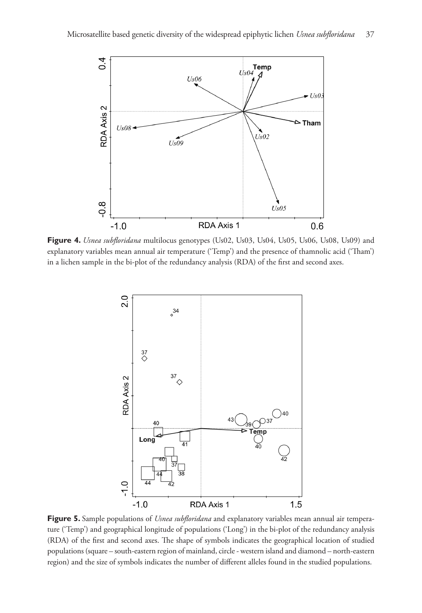

**Figure 4.** *Usnea subfloridana* multilocus genotypes (Us02, Us03, Us04, Us05, Us06, Us08, Us09) and explanatory variables mean annual air temperature ('Temp') and the presence of thamnolic acid ('Tham') in a lichen sample in the bi-plot of the redundancy analysis (RDA) of the first and second axes.



**Figure 5.** Sample populations of *Usnea subfloridana* and explanatory variables mean annual air temperature ('Temp') and geographical longitude of populations ('Long') in the bi-plot of the redundancy analysis (RDA) of the first and second axes. The shape of symbols indicates the geographical location of studied populations (square – south-eastern region of mainland, circle - western island and diamond – north-eastern region) and the size of symbols indicates the number of different alleles found in the studied populations.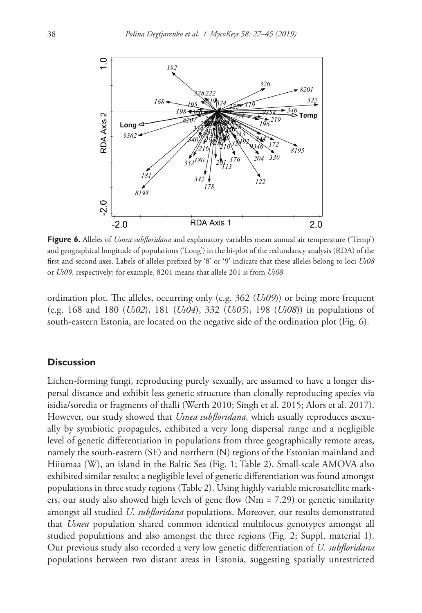

**Figure 6.** Alleles of *Usnea subfloridana* and explanatory variables mean annual air temperature ('Temp') and geographical longitude of populations ('Long') in the bi-plot of the redundancy analysis (RDA) of the first and second axes. Labels of alleles prefixed by '8' or '9' indicate that these alleles belong to loci *Us08* or *Us09,* respectively; for example, 8201 means that allele 201 is from *Us08*

ordination plot. The alleles, occurring only (e.g. 362 (*Us09*)) or being more frequent (e.g. 168 and 180 (*Us02*), 181 (*Us04*), 332 (*Us05*), 198 (*Us08*)) in populations of south-eastern Estonia, are located on the negative side of the ordination plot (Fig. 6).

#### **Discussion**

Lichen-forming fungi, reproducing purely sexually, are assumed to have a longer dispersal distance and exhibit less genetic structure than clonally reproducing species via isidia/soredia or fragments of thalli (Werth 2010; Singh et al. 2015; Alors et al. 2017). However, our study showed that *Usnea subfloridana,* which usually reproduces asexually by symbiotic propagules, exhibited a very long dispersal range and a negligible level of genetic differentiation in populations from three geographically remote areas, namely the south-eastern (SE) and northern (N) regions of the Estonian mainland and Hiiumaa (W), an island in the Baltic Sea (Fig. 1; Table 2). Small-scale AMOVA also exhibited similar results; a negligible level of genetic differentiation was found amongst populations in three study regions (Table 2). Using highly variable microsatellite markers, our study also showed high levels of gene flow  $(Nm = 7.29)$  or genetic similarity amongst all studied *U. subfloridana* populations. Moreover, our results demonstrated that *Usnea* population shared common identical multilocus genotypes amongst all studied populations and also amongst the three regions (Fig. 2; Suppl. material 1). Our previous study also recorded a very low genetic differentiation of *U. subfloridana* populations between two distant areas in Estonia, suggesting spatially unrestricted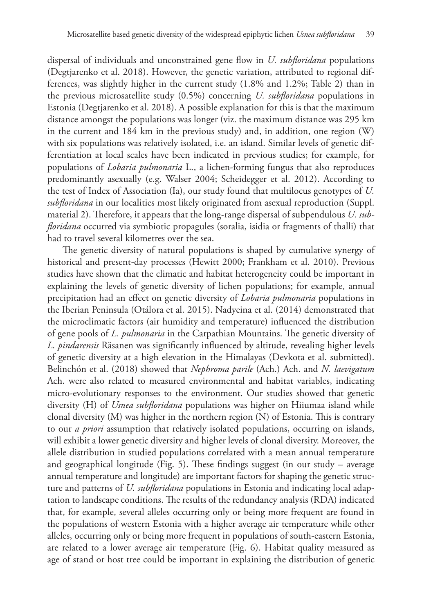dispersal of individuals and unconstrained gene flow in *U. subfloridana* populations (Degtjarenko et al. 2018). However, the genetic variation, attributed to regional differences, was slightly higher in the current study (1.8% and 1.2%; Table 2) than in the previous microsatellite study (0.5%) concerning *U. subfloridana* populations in Estonia (Degtjarenko et al. 2018). A possible explanation for this is that the maximum distance amongst the populations was longer (viz. the maximum distance was 295 km in the current and 184 km in the previous study) and, in addition, one region (W) with six populations was relatively isolated, i.e. an island. Similar levels of genetic differentiation at local scales have been indicated in previous studies; for example, for populations of *Lobaria pulmonaria* L., a lichen-forming fungus that also reproduces predominantly asexually (e.g. Walser 2004; Scheidegger et al. 2012). According to the test of Index of Association (Ia), our study found that multilocus genotypes of *U. subfloridana* in our localities most likely originated from asexual reproduction (Suppl. material 2). Therefore, it appears that the long-range dispersal of subpendulous *U. subfloridana* occurred via symbiotic propagules (soralia, isidia or fragments of thalli) that had to travel several kilometres over the sea.

The genetic diversity of natural populations is shaped by cumulative synergy of historical and present-day processes (Hewitt 2000; Frankham et al. 2010). Previous studies have shown that the climatic and habitat heterogeneity could be important in explaining the levels of genetic diversity of lichen populations; for example, annual precipitation had an effect on genetic diversity of *Lobaria pulmonaria* populations in the Iberian Peninsula (Otálora et al. 2015). Nadyeina et al. (2014) demonstrated that the microclimatic factors (air humidity and temperature) influenced the distribution of gene pools of *L. pulmonaria* in the Carpathian Mountains. The genetic diversity of *L. pindarensis* Räsanen was significantly influenced by altitude, revealing higher levels of genetic diversity at a high elevation in the Himalayas (Devkota et al. submitted). Belinchón et al. (2018) showed that *Nephroma parile* (Ach.) Ach. and *N. laevigatum*  Ach. were also related to measured environmental and habitat variables, indicating micro-evolutionary responses to the environment. Our studies showed that genetic diversity (H) of *Usnea subfloridana* populations was higher on Hiiumaa island while clonal diversity (M) was higher in the northern region (N) of Estonia. This is contrary to our *a priori* assumption that relatively isolated populations, occurring on islands, will exhibit a lower genetic diversity and higher levels of clonal diversity. Moreover, the allele distribution in studied populations correlated with a mean annual temperature and geographical longitude (Fig. 5). These findings suggest (in our study – average annual temperature and longitude) are important factors for shaping the genetic structure and patterns of *U. subfloridana* populations in Estonia and indicating local adaptation to landscape conditions. The results of the redundancy analysis (RDA) indicated that, for example, several alleles occurring only or being more frequent are found in the populations of western Estonia with a higher average air temperature while other alleles, occurring only or being more frequent in populations of south-eastern Estonia, are related to a lower average air temperature (Fig. 6). Habitat quality measured as age of stand or host tree could be important in explaining the distribution of genetic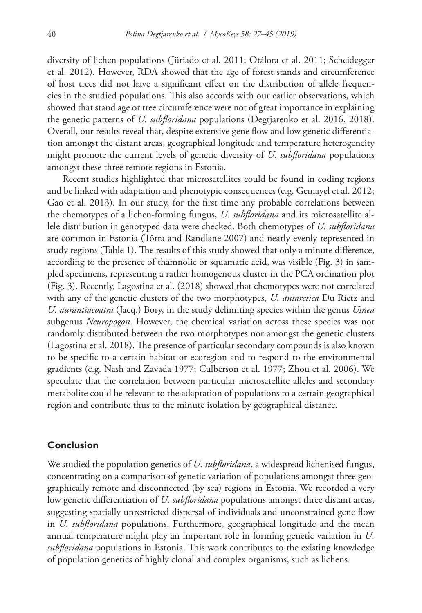diversity of lichen populations (Jüriado et al. 2011; Otálora et al. 2011; Scheidegger et al. 2012). However, RDA showed that the age of forest stands and circumference of host trees did not have a significant effect on the distribution of allele frequencies in the studied populations. This also accords with our earlier observations, which showed that stand age or tree circumference were not of great importance in explaining the genetic patterns of *U. subfloridana* populations (Degtjarenko et al. 2016, 2018). Overall, our results reveal that, despite extensive gene flow and low genetic differentiation amongst the distant areas, geographical longitude and temperature heterogeneity might promote the current levels of genetic diversity of *U. subfloridana* populations amongst these three remote regions in Estonia.

Recent studies highlighted that microsatellites could be found in coding regions and be linked with adaptation and phenotypic consequences (e.g. Gemayel et al. 2012; Gao et al. 2013). In our study, for the first time any probable correlations between the chemotypes of a lichen-forming fungus, *U. subfloridana* and its microsatellite allele distribution in genotyped data were checked. Both chemotypes of *U. subfloridana*  are common in Estonia (Tõrra and Randlane 2007) and nearly evenly represented in study regions (Table 1). The results of this study showed that only a minute difference, according to the presence of thamnolic or squamatic acid, was visible (Fig. 3) in sampled specimens, representing a rather homogenous cluster in the PCA ordination plot (Fig. 3). Recently, Lagostina et al. (2018) showed that chemotypes were not correlated with any of the genetic clusters of the two morphotypes, *U. antarctica* Du Rietz and *U. aurantiacoatra* (Jacq.) Bory, in the study delimiting species within the genus *Usnea* subgenus *Neuropogon*. However, the chemical variation across these species was not randomly distributed between the two morphotypes nor amongst the genetic clusters (Lagostina et al. 2018). The presence of particular secondary compounds is also known to be specific to a certain habitat or ecoregion and to respond to the environmental gradients (e.g. Nash and Zavada 1977; Culberson et al. 1977; Zhou et al. 2006). We speculate that the correlation between particular microsatellite alleles and secondary metabolite could be relevant to the adaptation of populations to a certain geographical region and contribute thus to the minute isolation by geographical distance.

## **Conclusion**

We studied the population genetics of *U. subfloridana*, a widespread lichenised fungus, concentrating on a comparison of genetic variation of populations amongst three geographically remote and disconnected (by sea) regions in Estonia. We recorded a very low genetic differentiation of *U. subfloridana* populations amongst three distant areas, suggesting spatially unrestricted dispersal of individuals and unconstrained gene flow in *U. subfloridana* populations. Furthermore, geographical longitude and the mean annual temperature might play an important role in forming genetic variation in *U. subfloridana* populations in Estonia. This work contributes to the existing knowledge of population genetics of highly clonal and complex organisms, such as lichens.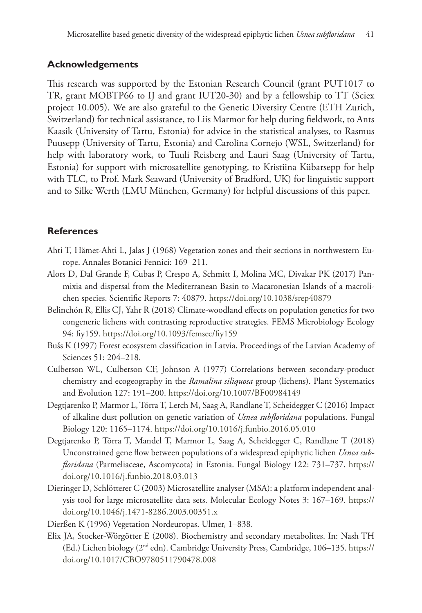# **Acknowledgements**

This research was supported by the Estonian Research Council (grant PUT1017 to TR, grant MOBTP66 to IJ and grant IUT20-30) and by a fellowship to TT (Sciex project 10.005). We are also grateful to the Genetic Diversity Centre (ETH Zurich, Switzerland) for technical assistance, to Liis Marmor for help during fieldwork, to Ants Kaasik (University of Tartu, Estonia) for advice in the statistical analyses, to Rasmus Puusepp (University of Tartu, Estonia) and Carolina Cornejo (WSL, Switzerland) for help with laboratory work, to Tuuli Reisberg and Lauri Saag (University of Tartu, Estonia) for support with microsatellite genotyping, to Kristiina Kübarsepp for help with TLC, to Prof. Mark Seaward (University of Bradford, UK) for linguistic support and to Silke Werth (LMU München, Germany) for helpful discussions of this paper.

# **References**

- Ahti T, Hämet-Ahti L, Jalas J (1968) Vegetation zones and their sections in northwestern Europe. Annales Botanici Fennici: 169–211.
- Alors D, Dal Grande F, Cubas P, Crespo A, Schmitt I, Molina MC, Divakar PK (2017) Panmixia and dispersal from the Mediterranean Basin to Macaronesian Islands of a macrolichen species. Scientific Reports 7: 40879. <https://doi.org/10.1038/srep40879>
- Belinchón R, Ellis CJ, Yahr R (2018) Climate-woodland effects on population genetics for two congeneric lichens with contrasting reproductive strategies. FEMS Microbiology Ecology 94: fiy159.<https://doi.org/10.1093/femsec/fiy159>
- Bušs K (1997) Forest ecosystem classification in Latvia. Proceedings of the Latvian Academy of Sciences 51: 204–218.
- Culberson WL, Culberson CF, Johnson A (1977) Correlations between secondary-product chemistry and ecogeography in the *Ramalina siliquosa* group (lichens). Plant Systematics and Evolution 127: 191–200. <https://doi.org/10.1007/BF00984149>
- Degtjarenko P, Marmor L, Tõrra T, Lerch M, Saag A, Randlane T, Scheidegger C (2016) Impact of alkaline dust pollution on genetic variation of *Usnea subfloridana* populations. Fungal Biology 120: 1165–1174.<https://doi.org/10.1016/j.funbio.2016.05.010>
- Degtjarenko P, Tõrra T, Mandel T, Marmor L, Saag A, Scheidegger C, Randlane T (2018) Unconstrained gene flow between populations of a widespread epiphytic lichen *Usnea subfloridana* (Parmeliaceae, Ascomycota) in Estonia. Fungal Biology 122: 731–737. [https://](https://doi.org/10.1016/j.funbio.2018.03.013) [doi.org/10.1016/j.funbio.2018.03.013](https://doi.org/10.1016/j.funbio.2018.03.013)
- Dieringer D, Schlötterer C (2003) Microsatellite analyser (MSA): a platform independent analysis tool for large microsatellite data sets. Molecular Ecology Notes 3: 167–169. [https://](https://doi.org/10.1046/j.1471-8286.2003.00351.x) [doi.org/10.1046/j.1471-8286.2003.00351.x](https://doi.org/10.1046/j.1471-8286.2003.00351.x)
- Dierßen K (1996) Vegetation Nordeuropas. Ulmer, 1–838.
- Elix JA, Stocker-Wörgötter E (2008). Biochemistry and secondary metabolites. In: Nash TH (Ed.) Lichen biology (2nd edn). Cambridge University Press, Cambridge, 106–135. [https://](https://doi.org/10.1017/CBO9780511790478.008) [doi.org/10.1017/CBO9780511790478.008](https://doi.org/10.1017/CBO9780511790478.008)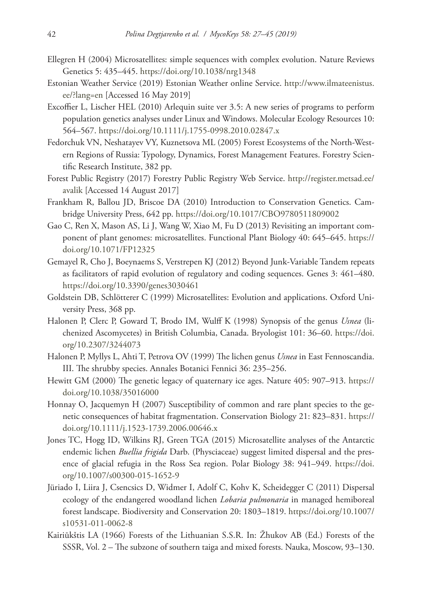- Ellegren H (2004) Microsatellites: simple sequences with complex evolution. Nature Reviews Genetics 5: 435–445.<https://doi.org/10.1038/nrg1348>
- Estonian Weather Service (2019) Estonian Weather online Service. [http://www.ilmateenistus.](http://www.ilmateenistus.ee/?lang=en) [ee/?lang=en](http://www.ilmateenistus.ee/?lang=en) [Accessed 16 May 2019]
- Excoffier L, Lischer HEL (2010) Arlequin suite ver 3.5: A new series of programs to perform population genetics analyses under Linux and Windows. Molecular Ecology Resources 10: 564–567.<https://doi.org/10.1111/j.1755-0998.2010.02847.x>
- Fedorchuk VN, Neshatayev VY, Kuznetsova ML (2005) Forest Ecosystems of the North-Western Regions of Russia: Typology, Dynamics, Forest Management Features. Forestry Scientific Research Institute, 382 pp.
- Forest Public Registry (2017) Forestry Public Registry Web Service. [http://register.metsad.ee/](http://register.metsad.ee/avalik) [avalik](http://register.metsad.ee/avalik) [Accessed 14 August 2017]
- Frankham R, Ballou JD, Briscoe DA (2010) Introduction to Conservation Genetics. Cambridge University Press, 642 pp. <https://doi.org/10.1017/CBO9780511809002>
- Gao C, Ren X, Mason AS, Li J, Wang W, Xiao M, Fu D (2013) Revisiting an important component of plant genomes: microsatellites. Functional Plant Biology 40: 645–645. [https://](https://doi.org/10.1071/FP12325) [doi.org/10.1071/FP12325](https://doi.org/10.1071/FP12325)
- Gemayel R, Cho J, Boeynaems S, Verstrepen KJ (2012) Beyond Junk-Variable Tandem repeats as facilitators of rapid evolution of regulatory and coding sequences. Genes 3: 461–480. <https://doi.org/10.3390/genes3030461>
- Goldstein DB, Schlötterer C (1999) Microsatellites: Evolution and applications. Oxford University Press, 368 pp.
- Halonen P, Clerc P, Goward T, Brodo IM, Wulff K (1998) Synopsis of the genus *Usnea* (lichenized Ascomycetes) in British Columbia, Canada. Bryologist 101: 36–60. [https://doi.](https://doi.org/10.2307/3244073) [org/10.2307/3244073](https://doi.org/10.2307/3244073)
- Halonen P, Myllys L, Ahti T, Petrova OV (1999) The lichen genus *Usnea* in East Fennoscandia. III. The shrubby species. Annales Botanici Fennici 36: 235–256.
- Hewitt GM (2000) The genetic legacy of quaternary ice ages. Nature 405: 907–913. [https://](https://doi.org/10.1038/35016000) [doi.org/10.1038/35016000](https://doi.org/10.1038/35016000)
- Honnay O, Jacquemyn H (2007) Susceptibility of common and rare plant species to the genetic consequences of habitat fragmentation. Conservation Biology 21: 823–831. [https://](https://doi.org/10.1111/j.1523-1739.2006.00646.x) [doi.org/10.1111/j.1523-1739.2006.00646.x](https://doi.org/10.1111/j.1523-1739.2006.00646.x)
- Jones TC, Hogg ID, Wilkins RJ, Green TGA (2015) Microsatellite analyses of the Antarctic endemic lichen *Buellia frigida* Darb. (Physciaceae) suggest limited dispersal and the presence of glacial refugia in the Ross Sea region. Polar Biology 38: 941–949. [https://doi.](https://doi.org/10.1007/s00300-015-1652-9) [org/10.1007/s00300-015-1652-9](https://doi.org/10.1007/s00300-015-1652-9)
- Jüriado I, Liira J, Csencsics D, Widmer I, Adolf C, Kohv K, Scheidegger C (2011) Dispersal ecology of the endangered woodland lichen *Lobaria pulmonaria* in managed hemiboreal forest landscape. Biodiversity and Conservation 20: 1803–1819. [https://doi.org/10.1007/](https://doi.org/10.1007/s10531-011-0062-8) [s10531-011-0062-8](https://doi.org/10.1007/s10531-011-0062-8)
- Kairiūkštis LA (1966) Forests of the Lithuanian S.S.R. In: Žhukov AB (Ed.) Forests of the SSSR, Vol. 2 – The subzone of southern taiga and mixed forests. Nauka, Moscow, 93–130.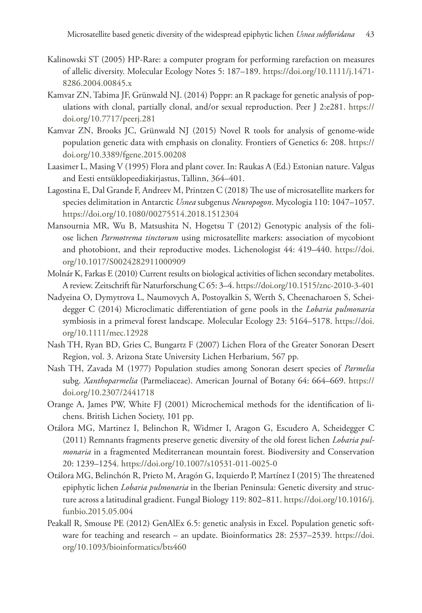- Kalinowski ST (2005) HP-Rare: a computer program for performing rarefaction on measures of allelic diversity. Molecular Ecology Notes 5: 187–189. [https://doi.org/10.1111/j.1471-](https://doi.org/10.1111/j.1471-8286.2004.00845.x) [8286.2004.00845.x](https://doi.org/10.1111/j.1471-8286.2004.00845.x)
- Kamvar ZN, Tabima JF, Grünwald NJ. (2014) Poppr: an R package for genetic analysis of populations with clonal, partially clonal, and/or sexual reproduction. Peer J 2:e281. [https://](https://doi.org/10.7717/peerj.281) [doi.org/10.7717/peerj.281](https://doi.org/10.7717/peerj.281)
- Kamvar ZN, Brooks JC, Grünwald NJ (2015) Novel R tools for analysis of genome-wide population genetic data with emphasis on clonality. Frontiers of Genetics 6: 208. [https://](https://doi.org/10.3389/fgene.2015.00208) [doi.org/10.3389/fgene.2015.00208](https://doi.org/10.3389/fgene.2015.00208)
- Laasimer L, Masing V (1995) Flora and plant cover. In: Raukas A (Ed.) Estonian nature. Valgus and Eesti entsüklopeediakirjastus, Tallinn, 364–401.
- Lagostina E, Dal Grande F, Andreev M, Printzen C (2018) The use of microsatellite markers for species delimitation in Antarctic *Usnea* subgenus *Neuropogon*. Mycologia 110: 1047–1057. <https://doi.org/10.1080/00275514.2018.1512304>
- Mansournia MR, Wu B, Matsushita N, Hogetsu T (2012) Genotypic analysis of the foliose lichen *Parmotrema tinctorum* using microsatellite markers: association of mycobiont and photobiont, and their reproductive modes. Lichenologist 44: 419–440. [https://doi.](https://doi.org/10.1017/S0024282911000909) [org/10.1017/S0024282911000909](https://doi.org/10.1017/S0024282911000909)
- Molnár K, Farkas E (2010) Current results on biological activities of lichen secondary metabolites. A review. Zeitschrift für Naturforschung C 65: 3–4.<https://doi.org/10.1515/znc-2010-3-401>
- Nadyeina O, Dymytrova L, Naumovych A, Postoyalkin S, Werth S, Cheenacharoen S, Scheidegger C (2014) Microclimatic differentiation of gene pools in the *Lobaria pulmonaria* symbiosis in a primeval forest landscape. Molecular Ecology 23: 5164–5178. [https://doi.](https://doi.org/10.1111/mec.12928) [org/10.1111/mec.12928](https://doi.org/10.1111/mec.12928)
- Nash TH, Ryan BD, Gries C, Bungartz F (2007) Lichen Flora of the Greater Sonoran Desert Region, vol. 3. Arizona State University Lichen Herbarium, 567 pp.
- Nash TH, Zavada M (1977) Population studies among Sonoran desert species of *Parmelia*  subg. *Xanthoparmelia* (Parmeliaceae). American Journal of Botany 64: 664–669. [https://](https://doi.org/10.2307/2441718) [doi.org/10.2307/2441718](https://doi.org/10.2307/2441718)
- Orange A, James PW, White FJ (2001) Microchemical methods for the identification of lichens. British Lichen Society, 101 pp.
- Otálora MG, Martinez I, Belinchon R, Widmer I, Aragon G, Escudero A, Scheidegger C (2011) Remnants fragments preserve genetic diversity of the old forest lichen *Lobaria pulmonaria* in a fragmented Mediterranean mountain forest. Biodiversity and Conservation 20: 1239–1254.<https://doi.org/10.1007/s10531-011-0025-0>
- Otálora MG, Belinchón R, Prieto M, Aragón G, Izquierdo P, Martínez I (2015) The threatened epiphytic lichen *Lobaria pulmonaria* in the Iberian Peninsula: Genetic diversity and structure across a latitudinal gradient. Fungal Biology 119: 802–811. [https://doi.org/10.1016/j.](https://doi.org/10.1016/j.funbio.2015.05.004) [funbio.2015.05.004](https://doi.org/10.1016/j.funbio.2015.05.004)
- Peakall R, Smouse PE (2012) GenAlEx 6.5: genetic analysis in Excel. Population genetic software for teaching and research – an update. Bioinformatics 28: 2537–2539. [https://doi.](https://doi.org/10.1093/bioinformatics/bts460) [org/10.1093/bioinformatics/bts460](https://doi.org/10.1093/bioinformatics/bts460)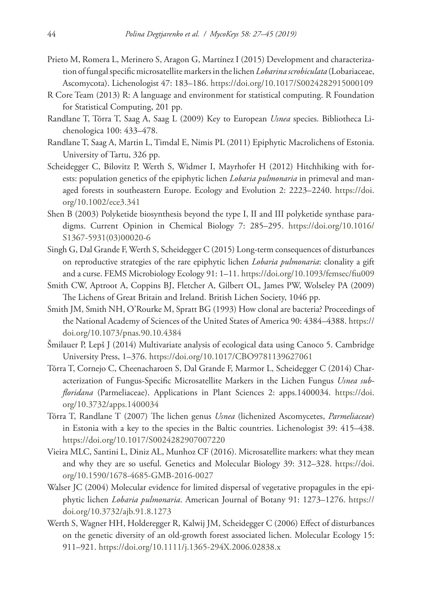- Prieto M, Romera L, Merinero S, Aragon G, Martínez I (2015) Development and characterization of fungal specific microsatellite markers in the lichen *Lobarina scrobiculata* (Lobariaceae, Ascomycota). Lichenologist 47: 183–186. <https://doi.org/10.1017/S0024282915000109>
- R Core Team (2013) R: A language and environment for statistical computing. R Foundation for Statistical Computing, 201 pp.
- Randlane T, Tõrra T, Saag A, Saag L (2009) Key to European *Usnea* species. Bibliotheca Lichenologica 100: 433–478.
- Randlane T, Saag A, Martin L, Timdal E, Nimis PL (2011) Epiphytic Macrolichens of Estonia. University of Tartu, 326 pp.
- Scheidegger C, Bilovitz P, Werth S, Widmer I, Mayrhofer H (2012) Hitchhiking with forests: population genetics of the epiphytic lichen *Lobaria pulmonaria* in primeval and managed forests in southeastern Europe. Ecology and Evolution 2: 2223–2240. [https://doi.](https://doi.org/10.1002/ece3.341) [org/10.1002/ece3.341](https://doi.org/10.1002/ece3.341)
- Shen B (2003) Polyketide biosynthesis beyond the type I, II and III polyketide synthase paradigms. Current Opinion in Chemical Biology 7: 285–295. [https://doi.org/10.1016/](https://doi.org/10.1016/S1367-5931(03)00020-6) [S1367-5931\(03\)00020-6](https://doi.org/10.1016/S1367-5931(03)00020-6)
- Singh G, Dal Grande F, Werth S, Scheidegger C (2015) Long-term consequences of disturbances on reproductive strategies of the rare epiphytic lichen *Lobaria pulmonaria*: clonality a gift and a curse. FEMS Microbiology Ecology 91: 1–11. <https://doi.org/10.1093/femsec/fiu009>
- Smith CW, Aptroot A, Coppins BJ, Fletcher A, Gilbert OL, James PW, Wolseley PA (2009) The Lichens of Great Britain and Ireland. British Lichen Society, 1046 pp.
- Smith JM, Smith NH, O'Rourke M, Spratt BG (1993) How clonal are bacteria? Proceedings of the National Academy of Sciences of the United States of America 90: 4384–4388. [https://](https://doi.org/10.1073/pnas.90.10.4384) [doi.org/10.1073/pnas.90.10.4384](https://doi.org/10.1073/pnas.90.10.4384)
- Šmilauer P, Lepš J (2014) Multivariate analysis of ecological data using Canoco 5. Cambridge University Press, 1–376.<https://doi.org/10.1017/CBO9781139627061>
- Tõrra T, Cornejo C, Cheenacharoen S, Dal Grande F, Marmor L, Scheidegger C (2014) Characterization of Fungus-Specific Microsatellite Markers in the Lichen Fungus *Usnea subfloridana* (Parmeliaceae). Applications in Plant Sciences 2: apps.1400034. [https://doi.](https://doi.org/10.3732/apps.1400034) [org/10.3732/apps.1400034](https://doi.org/10.3732/apps.1400034)
- Tõrra T, Randlane T (2007) The lichen genus *Usnea* (lichenized Ascomycetes, *Parmeliaceae*) in Estonia with a key to the species in the Baltic countries. Lichenologist 39: 415–438. <https://doi.org/10.1017/S0024282907007220>
- Vieira MLC, Santini L, Diniz AL, Munhoz CF (2016). Microsatellite markers: what they mean and why they are so useful. Genetics and Molecular Biology 39: 312–328. [https://doi.](https://doi.org/10.1590/1678-4685-GMB-2016-0027) [org/10.1590/1678-4685-GMB-2016-0027](https://doi.org/10.1590/1678-4685-GMB-2016-0027)
- Walser JC (2004) Molecular evidence for limited dispersal of vegetative propagules in the epiphytic lichen *Lobaria pulmonaria*. American Journal of Botany 91: 1273–1276. [https://](https://doi.org/10.3732/ajb.91.8.1273) [doi.org/10.3732/ajb.91.8.1273](https://doi.org/10.3732/ajb.91.8.1273)
- Werth S, Wagner HH, Holderegger R, Kalwij JM, Scheidegger C (2006) Effect of disturbances on the genetic diversity of an old-growth forest associated lichen. Molecular Ecology 15: 911–921.<https://doi.org/10.1111/j.1365-294X.2006.02838.x>